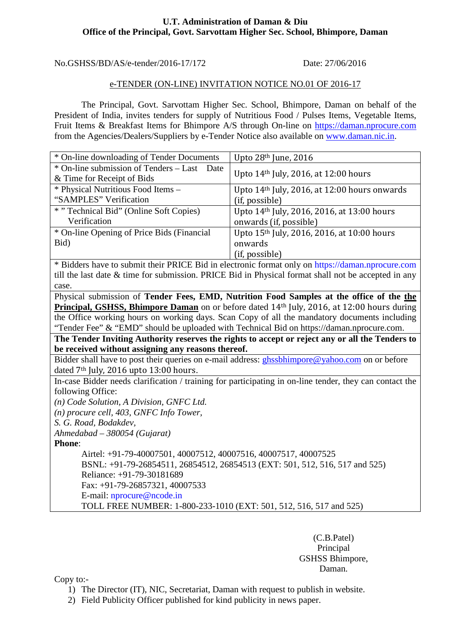#### **U.T. Administration of Daman & Diu Office of the Principal, Govt. Sarvottam Higher Sec. School, Bhimpore, Daman**

No.GSHSS/BD/AS/e-tender/2016-17/172 Date: 27/06/2016

#### e-TENDER (ON-LINE) INVITATION NOTICE NO.01 OF 2016-17

The Principal, Govt. Sarvottam Higher Sec. School, Bhimpore, Daman on behalf of the President of India, invites tenders for supply of Nutritious Food / Pulses Items, Vegetable Items, Fruit Items & Breakfast Items for Bhimpore A/S through On-line on [https://daman.nprocure.com](https://daman.nprocure.com/) from the Agencies/Dealers/Suppliers by e-Tender Notice also available on [www.daman.nic.in.](http://www.daman.nic.in/)

| * On-line downloading of Tender Documents                                                        | Upto $28th$ June, $2016$                                 |  |
|--------------------------------------------------------------------------------------------------|----------------------------------------------------------|--|
| * On-line submission of Tenders – Last Date                                                      | Upto 14 <sup>th</sup> July, 2016, at 12:00 hours         |  |
| & Time for Receipt of Bids                                                                       |                                                          |  |
| * Physical Nutritious Food Items -                                                               | Upto 14 <sup>th</sup> July, 2016, at 12:00 hours onwards |  |
| "SAMPLES" Verification                                                                           | (if, possible)                                           |  |
| * "Technical Bid" (Online Soft Copies)                                                           | Upto 14th July, 2016, 2016, at 13:00 hours               |  |
| Verification                                                                                     | onwards (if, possible)                                   |  |
| * On-line Opening of Price Bids (Financial                                                       | Upto 15 <sup>th</sup> July, 2016, 2016, at 10:00 hours   |  |
| Bid)                                                                                             | onwards                                                  |  |
|                                                                                                  | (if, possible)                                           |  |
| * Ridders have to submit their PRICE Rid in electronic format only on https://daman.nprocure.com |                                                          |  |

the fact to submit their PRICE Bid in electronic format only on [https://daman.nprocure.com](https://daman.nprocure.com/) till the last date & time for submission. PRICE Bid in Physical format shall not be accepted in any case.

Physical submission of **Tender Fees, EMD, Nutrition Food Samples at the office of the the Principal, GSHSS, Bhimpore Daman** on or before dated 14th July, 2016, at 12:00 hours during the Office working hours on working days. Scan Copy of all the mandatory documents including "Tender Fee" & "EMD" should be uploaded with Technical Bid on https://daman.nprocure.com.

**The Tender Inviting Authority reserves the rights to accept or reject any or all the Tenders to be received without assigning any reasons thereof.** 

Bidder shall have to post their queries on e-mail address: *ghssbhimpore@yahoo.com* on or before dated 7<sup>th</sup> July, 2016 upto 13:00 hours.

In-case Bidder needs clarification / training for participating in on-line tender, they can contact the following Office:

*(n) Code Solution, A Division, GNFC Ltd.*

*(n) procure cell, 403, GNFC Info Tower,* 

*S. G. Road, Bodakdev,*

*Ahmedabad – 380054 (Gujarat)*

**Phone**:

Airtel: +91-79-40007501, 40007512, 40007516, 40007517, 40007525 BSNL: +91-79-26854511, 26854512, 26854513 (EXT: 501, 512, 516, 517 and 525) Reliance: +91-79-30181689 Fax: +91-79-26857321, 40007533 E-mail: nprocure@ncode.in

TOLL FREE NUMBER: 1-800-233-1010 (EXT: 501, 512, 516, 517 and 525)

(C.B.Patel) Principal GSHSS Bhimpore, Daman.

Copy to:-

- 1) The Director (IT), NIC, Secretariat, Daman with request to publish in website.
- 2) Field Publicity Officer published for kind publicity in news paper.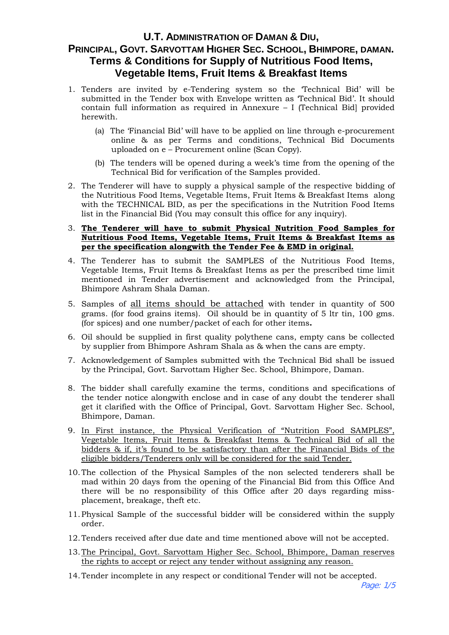# **U.T. ADMINISTRATION OF DAMAN & DIU, PRINCIPAL, GOVT. SARVOTTAM HIGHER SEC. SCHOOL, BHIMPORE, DAMAN. Terms & Conditions for Supply of Nutritious Food Items, Vegetable Items, Fruit Items & Breakfast Items**

- 1. Tenders are invited by e-Tendering system so the 'Technical Bid' will be submitted in the Tender box with Envelope written as 'Technical Bid'. It should contain full information as required in Annexure – I (Technical Bid] provided herewith.
	- (a) The 'Financial Bid' will have to be applied on line through e-procurement online & as per Terms and conditions, Technical Bid Documents uploaded on e – Procurement online (Scan Copy).
	- (b) The tenders will be opened during a week's time from the opening of the Technical Bid for verification of the Samples provided.
- 2. The Tenderer will have to supply a physical sample of the respective bidding of the Nutritious Food Items, Vegetable Items, Fruit Items & Breakfast Items along with the TECHNICAL BID, as per the specifications in the Nutrition Food Items list in the Financial Bid (You may consult this office for any inquiry).
- 3. **The Tenderer will have to submit Physical Nutrition Food Samples for Nutritious Food Items, Vegetable Items, Fruit Items & Breakfast Items as per the specification alongwith the Tender Fee & EMD in original.**
- 4. The Tenderer has to submit the SAMPLES of the Nutritious Food Items, Vegetable Items, Fruit Items & Breakfast Items as per the prescribed time limit mentioned in Tender advertisement and acknowledged from the Principal, Bhimpore Ashram Shala Daman.
- 5. Samples of all items should be attached with tender in quantity of 500 grams. (for food grains items). Oil should be in quantity of 5 ltr tin, 100 gms. (for spices) and one number/packet of each for other items**.**
- 6. Oil should be supplied in first quality polythene cans, empty cans be collected by supplier from Bhimpore Ashram Shala as & when the cans are empty.
- 7. Acknowledgement of Samples submitted with the Technical Bid shall be issued by the Principal, Govt. Sarvottam Higher Sec. School, Bhimpore, Daman.
- 8. The bidder shall carefully examine the terms, conditions and specifications of the tender notice alongwith enclose and in case of any doubt the tenderer shall get it clarified with the Office of Principal, Govt. Sarvottam Higher Sec. School, Bhimpore, Daman.
- 9. In First instance, the Physical Verification of "Nutrition Food SAMPLES", Vegetable Items, Fruit Items & Breakfast Items & Technical Bid of all the bidders & if, it's found to be satisfactory than after the Financial Bids of the eligible bidders/Tenderers only will be considered for the said Tender.
- 10.The collection of the Physical Samples of the non selected tenderers shall be mad within 20 days from the opening of the Financial Bid from this Office And there will be no responsibility of this Office after 20 days regarding missplacement, breakage, theft etc.
- 11.Physical Sample of the successful bidder will be considered within the supply order.
- 12.Tenders received after due date and time mentioned above will not be accepted.
- 13.The Principal, Govt. Sarvottam Higher Sec. School, Bhimpore, Daman reserves the rights to accept or reject any tender without assigning any reason.
- 14.Tender incomplete in any respect or conditional Tender will not be accepted.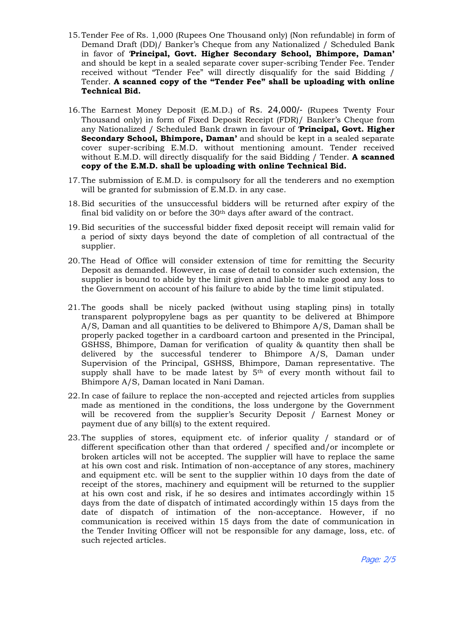- 15.Tender Fee of Rs. 1,000 (Rupees One Thousand only) (Non refundable) in form of Demand Draft (DD)/ Banker's Cheque from any Nationalized / Scheduled Bank in favor of '**Principal, Govt. Higher Secondary School, Bhimpore, Daman'** and should be kept in a sealed separate cover super-scribing Tender Fee. Tender received without "Tender Fee" will directly disqualify for the said Bidding / Tender. **A scanned copy of the "Tender Fee" shall be uploading with online Technical Bid.**
- 16.The Earnest Money Deposit (E.M.D.) of Rs. 24,000/- (Rupees Twenty Four Thousand only) in form of Fixed Deposit Receipt (FDR)/ Banker's Cheque from any Nationalized / Scheduled Bank drawn in favour of '**Principal, Govt. Higher Secondary School, Bhimpore, Daman'** and should be kept in a sealed separate cover super-scribing E.M.D. without mentioning amount. Tender received without E.M.D. will directly disqualify for the said Bidding / Tender. **A scanned copy of the E.M.D. shall be uploading with online Technical Bid.**
- 17.The submission of E.M.D. is compulsory for all the tenderers and no exemption will be granted for submission of E.M.D. in any case.
- 18.Bid securities of the unsuccessful bidders will be returned after expiry of the final bid validity on or before the 30th days after award of the contract.
- 19.Bid securities of the successful bidder fixed deposit receipt will remain valid for a period of sixty days beyond the date of completion of all contractual of the supplier.
- 20.The Head of Office will consider extension of time for remitting the Security Deposit as demanded. However, in case of detail to consider such extension, the supplier is bound to abide by the limit given and liable to make good any loss to the Government on account of his failure to abide by the time limit stipulated.
- 21.The goods shall be nicely packed (without using stapling pins) in totally transparent polypropylene bags as per quantity to be delivered at Bhimpore A/S, Daman and all quantities to be delivered to Bhimpore A/S, Daman shall be properly packed together in a cardboard cartoon and presented in the Principal, GSHSS, Bhimpore, Daman for verification of quality & quantity then shall be delivered by the successful tenderer to Bhimpore A/S, Daman under Supervision of the Principal, GSHSS, Bhimpore, Daman representative. The supply shall have to be made latest by 5th of every month without fail to Bhimpore A/S, Daman located in Nani Daman.
- 22.In case of failure to replace the non-accepted and rejected articles from supplies made as mentioned in the conditions, the loss undergone by the Government will be recovered from the supplier's Security Deposit / Earnest Money or payment due of any bill(s) to the extent required.
- 23.The supplies of stores, equipment etc. of inferior quality / standard or of different specification other than that ordered / specified and/or incomplete or broken articles will not be accepted. The supplier will have to replace the same at his own cost and risk. Intimation of non-acceptance of any stores, machinery and equipment etc. will be sent to the supplier within 10 days from the date of receipt of the stores, machinery and equipment will be returned to the supplier at his own cost and risk, if he so desires and intimates accordingly within 15 days from the date of dispatch of intimated accordingly within 15 days from the date of dispatch of intimation of the non-acceptance. However, if no communication is received within 15 days from the date of communication in the Tender Inviting Officer will not be responsible for any damage, loss, etc. of such rejected articles.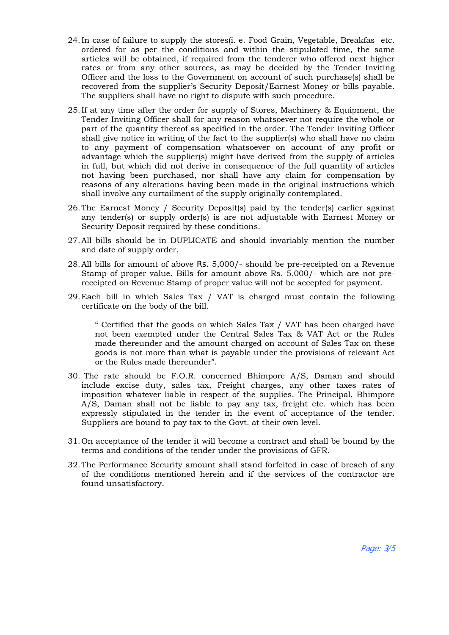- 24.In case of failure to supply the stores(i. e. Food Grain, Vegetable, Breakfas etc. ordered for as per the conditions and within the stipulated time, the same articles will be obtained, if required from the tenderer who offered next higher rates or from any other sources, as may be decided by the Tender Inviting Officer and the loss to the Government on account of such purchase(s) shall be recovered from the supplier's Security Deposit/Earnest Money or bills payable. The suppliers shall have no right to dispute with such procedure.
- 25.If at any time after the order for supply of Stores, Machinery & Equipment, the Tender Inviting Officer shall for any reason whatsoever not require the whole or part of the quantity thereof as specified in the order. The Tender Inviting Officer shall give notice in writing of the fact to the supplier(s) who shall have no claim to any payment of compensation whatsoever on account of any profit or advantage which the supplier(s) might have derived from the supply of articles in full, but which did not derive in consequence of the full quantity of articles not having been purchased, nor shall have any claim for compensation by reasons of any alterations having been made in the original instructions which shall involve any curtailment of the supply originally contemplated.
- 26.The Earnest Money / Security Deposit(s) paid by the tender(s) earlier against any tender(s) or supply order(s) is are not adjustable with Earnest Money or Security Deposit required by these conditions.
- 27.All bills should be in DUPLICATE and should invariably mention the number and date of supply order.
- 28.All bills for amount of above Rs. 5,000/- should be pre-receipted on a Revenue Stamp of proper value. Bills for amount above Rs. 5,000/- which are not prereceipted on Revenue Stamp of proper value will not be accepted for payment.
- 29.Each bill in which Sales Tax / VAT is charged must contain the following certificate on the body of the bill.

" Certified that the goods on which Sales Tax / VAT has been charged have not been exempted under the Central Sales Tax & VAT Act or the Rules made thereunder and the amount charged on account of Sales Tax on these goods is not more than what is payable under the provisions of relevant Act or the Rules made thereunder".

- 30. The rate should be F.O.R. concerned Bhimpore A/S, Daman and should include excise duty, sales tax, Freight charges, any other taxes rates of imposition whatever liable in respect of the supplies. The Principal, Bhimpore A/S, Daman shall not be liable to pay any tax, freight etc. which has been expressly stipulated in the tender in the event of acceptance of the tender. Suppliers are bound to pay tax to the Govt. at their own level.
- 31. On acceptance of the tender it will become a contract and shall be bound by the terms and conditions of the tender under the provisions of GFR.
- 32.The Performance Security amount shall stand forfeited in case of breach of any of the conditions mentioned herein and if the services of the contractor are found unsatisfactory.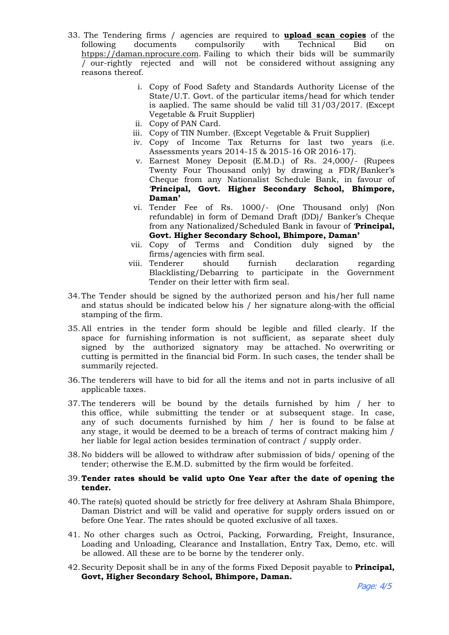- 33. The Tendering firms / agencies are required to **upload scan copies** of the following documents compulsorily with Technical Bid on htpps://daman.nprocure.com. Failing to which their bids will be summarily / our-rightly rejected and will not be considered without assigning any reasons thereof.
	- i. Copy of Food Safety and Standards Authority License of the State/U.T. Govt. of the particular items/head for which tender is aaplied. The same should be valid till 31/03/2017. (Except Vegetable & Fruit Supplier)
	- ii. Copy of PAN Card.
	- iii. Copy of TIN Number. (Except Vegetable & Fruit Supplier)
	- iv. Copy of Income Tax Returns for last two years (i.e. Assessments years 2014-15 & 2015-16 OR 2016-17).
	- v. Earnest Money Deposit (E.M.D.) of Rs. 24,000/- (Rupees Twenty Four Thousand only) by drawing a FDR/Banker's Cheque from any Nationalist Schedule Bank, in favour of '**Principal, Govt. Higher Secondary School, Bhimpore, Daman'**
	- vi. Tender Fee of Rs. 1000/- (One Thousand only) (Non refundable) in form of Demand Draft (DD)/ Banker's Cheque from any Nationalized/Scheduled Bank in favour of '**Principal, Govt. Higher Secondary School, Bhimpore, Daman'**
	- vii. Copy of Terms and Condition duly signed by the
	- firms/agencies with firm seal.<br>Tenderer should furnish viii. Tenderer should furnish declaration regarding Blacklisting/Debarring to participate in the Government Tender on their letter with firm seal.
- 34.The Tender should be signed by the authorized person and his/her full name and status should be indicated below his / her signature along-with the official stamping of the firm.
- 35.All entries in the tender form should be legible and filled clearly. If the space for furnishing information is not sufficient, as separate sheet duly signed by the authorized signatory may be attached. No overwriting or cutting is permitted in the financial bid Form. In such cases, the tender shall be summarily rejected.
- 36.The tenderers will have to bid for all the items and not in parts inclusive of all applicable taxes.
- 37.The tenderers will be bound by the details furnished by him / her to this office, while submitting the tender or at subsequent stage. In case, any of such documents furnished by him / her is found to be false at any stage, it would be deemed to be a breach of terms of contract making him / her liable for legal action besides termination of contract / supply order.
- 38.No bidders will be allowed to withdraw after submission of bids/ opening of the tender; otherwise the E.M.D. submitted by the firm would be forfeited.
- 39.**Tender rates should be valid upto One Year after the date of opening the tender.**
- 40.The rate(s) quoted should be strictly for free delivery at Ashram Shala Bhimpore, Daman District and will be valid and operative for supply orders issued on or before One Year. The rates should be quoted exclusive of all taxes.
- 41. No other charges such as Octroi, Packing, Forwarding, Freight, Insurance, Loading and Unloading, Clearance and Installation, Entry Tax, Demo, etc. will be allowed. All these are to be borne by the tenderer only.
- 42.Security Deposit shall be in any of the forms Fixed Deposit payable to **Principal, Govt, Higher Secondary School, Bhimpore, Daman.**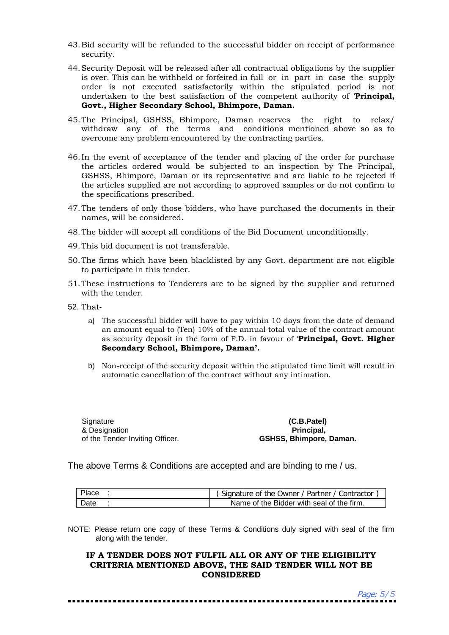- 43.Bid security will be refunded to the successful bidder on receipt of performance security.
- 44.Security Deposit will be released after all contractual obligations by the supplier is over. This can be withheld or forfeited in full or in part in case the supply order is not executed satisfactorily within the stipulated period is not undertaken to the best satisfaction of the competent authority of '**Principal, Govt., Higher Secondary School, Bhimpore, Daman.**
- 45.The Principal, GSHSS, Bhimpore, Daman reserves the right to relax/ withdraw any of the terms and conditions mentioned above so as to overcome any problem encountered by the contracting parties.
- 46.In the event of acceptance of the tender and placing of the order for purchase the articles ordered would be subjected to an inspection by The Principal, GSHSS, Bhimpore, Daman or its representative and are liable to be rejected if the articles supplied are not according to approved samples or do not confirm to the specifications prescribed.
- 47.The tenders of only those bidders, who have purchased the documents in their names, will be considered.
- 48.The bidder will accept all conditions of the Bid Document unconditionally.
- 49.This bid document is not transferable.
- 50.The firms which have been blacklisted by any Govt. department are not eligible to participate in this tender.
- 51.These instructions to Tenderers are to be signed by the supplier and returned with the tender.
- 52. That
	- a) The successful bidder will have to pay within 10 days from the date of demand an amount equal to (Ten) 10% of the annual total value of the contract amount as security deposit in the form of F.D. in favour of '**Principal, Govt. Higher Secondary School, Bhimpore, Daman'.**
	- b) Non-receipt of the security deposit within the stipulated time limit will result in automatic cancellation of the contract without any intimation.

**Signature** & Designation of the Tender Inviting Officer.

**(C.B.Patel) Principal, GSHSS, Bhimpore, Daman.**

The above Terms & Conditions are accepted and are binding to me / us.

| Place | (Signature of the Owner / Partner / Contractor |
|-------|------------------------------------------------|
| Date  | Name of the Bidder with seal of the firm.      |

NOTE: Please return one copy of these Terms & Conditions duly signed with seal of the firm along with the tender.

#### **IF A TENDER DOES NOT FULFIL ALL OR ANY OF THE ELIGIBILITY CRITERIA MENTIONED ABOVE, THE SAID TENDER WILL NOT BE CONSIDERED**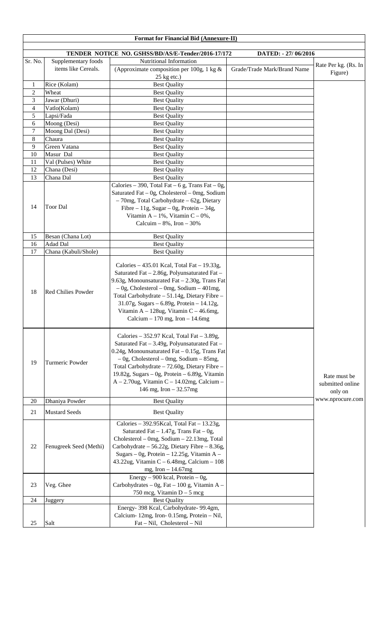|                  |                           | Format for Financial Bid (Annexure-II)                                                                                                                                                                                                                                                                                                                                        |                             |                                             |
|------------------|---------------------------|-------------------------------------------------------------------------------------------------------------------------------------------------------------------------------------------------------------------------------------------------------------------------------------------------------------------------------------------------------------------------------|-----------------------------|---------------------------------------------|
|                  |                           | TENDER NOTICE NO. GSHSS/BD/AS/E-Tender/2016-17/172                                                                                                                                                                                                                                                                                                                            | DATED: - 27/06/2016         |                                             |
| Sr. No.          | Supplementary foods       | Nutritional Information                                                                                                                                                                                                                                                                                                                                                       |                             |                                             |
|                  | items like Cereals.       | (Approximate composition per 100g, 1 kg $\&$<br>25 kg etc.)                                                                                                                                                                                                                                                                                                                   | Grade/Trade Mark/Brand Name | Rate Per kg. (Rs. In<br>Figure)             |
| $\mathbf{1}$     | Rice (Kolam)              | <b>Best Quality</b>                                                                                                                                                                                                                                                                                                                                                           |                             |                                             |
| $\overline{2}$   | Wheat                     | <b>Best Quality</b>                                                                                                                                                                                                                                                                                                                                                           |                             |                                             |
| 3                | Jawar (Dhuri)             | <b>Best Quality</b>                                                                                                                                                                                                                                                                                                                                                           |                             |                                             |
| $\overline{4}$   | Vatlo(Kolam)              | <b>Best Quality</b>                                                                                                                                                                                                                                                                                                                                                           |                             |                                             |
| 5                | Lapsi/Fada                | <b>Best Quality</b>                                                                                                                                                                                                                                                                                                                                                           |                             |                                             |
| 6                | Moong (Desi)              | <b>Best Quality</b>                                                                                                                                                                                                                                                                                                                                                           |                             |                                             |
| $\boldsymbol{7}$ | Moong Dal (Desi)          | <b>Best Quality</b>                                                                                                                                                                                                                                                                                                                                                           |                             |                                             |
| 8                | Chaura                    | <b>Best Quality</b>                                                                                                                                                                                                                                                                                                                                                           |                             |                                             |
| 9                | Green Vatana              | <b>Best Quality</b>                                                                                                                                                                                                                                                                                                                                                           |                             |                                             |
| 10               | Masur Dal                 | <b>Best Quality</b>                                                                                                                                                                                                                                                                                                                                                           |                             |                                             |
| 11               | Val (Pulses) White        | <b>Best Quality</b>                                                                                                                                                                                                                                                                                                                                                           |                             |                                             |
| 12               | Chana (Desi)              | <b>Best Quality</b>                                                                                                                                                                                                                                                                                                                                                           |                             |                                             |
| 13               | Chana Dal                 | <b>Best Quality</b>                                                                                                                                                                                                                                                                                                                                                           |                             |                                             |
| 14               | <b>Toor Dal</b>           | Calories – 390, Total Fat – 6 g, Trans Fat – 0g,<br>Saturated Fat - 0g, Cholesterol - 0mg, Sodium<br>- 70mg, Total Carbohydrate - 62g, Dietary<br>Fibre – 11g, Sugar – 0g, Protein – 34g,<br>Vitamin A - 1%, Vitamin C - 0%,<br>Calcuim $-8\%$ , Iron $-30\%$                                                                                                                 |                             |                                             |
| 15               | Besan (Chana Lot)         | <b>Best Quality</b>                                                                                                                                                                                                                                                                                                                                                           |                             |                                             |
| 16               | Adad Dal                  | <b>Best Quality</b>                                                                                                                                                                                                                                                                                                                                                           |                             |                                             |
| 17               | Chana (Kabuli/Shole)      | <b>Best Quality</b>                                                                                                                                                                                                                                                                                                                                                           |                             |                                             |
| 18               | <b>Red Chilies Powder</b> | Calories $-435.01$ Kcal, Total Fat $-19.33g$ ,<br>Saturated Fat - 2.86g, Polyunsaturated Fat -<br>9.63g, Monounsaturated Fat - 2.30g, Trans Fat<br>$-0g$ , Cholesterol – 0mg, Sodium – 401mg,<br>Total Carbohydrate - 51.14g, Dietary Fibre -<br>31.07g, Sugars - 6.89g, Protein - 14.12g,<br>Vitamin A - 128ug, Vitamin C - 46.6mg,<br>Calcium $-170$ mg, Iron $-14.6$ mg    |                             |                                             |
| 19               | Turmeric Powder           | Calories $-352.97$ Kcal, Total Fat $-3.89g$ ,<br>Saturated Fat - 3.49g, Polyunsaturated Fat -<br>0.24g, Monounsaturated Fat - 0.15g, Trans Fat<br>$-$ 0g, Cholesterol – 0mg, Sodium – 85mg,<br>Total Carbohydrate - 72.60g, Dietary Fibre -<br>19.82g, Sugars $-$ 0g, Protein $-$ 6.89g, Vitamin<br>$A - 2.70$ ug, Vitamin C - 14.02mg, Calcium -<br>146 mg, Iron $-32.57$ mg |                             | Rate must be<br>submitted online<br>only on |
| 20               | Dhaniya Powder            | <b>Best Quality</b>                                                                                                                                                                                                                                                                                                                                                           |                             | www.nprocure.com                            |
| 21               | <b>Mustard Seeds</b>      | <b>Best Quality</b>                                                                                                                                                                                                                                                                                                                                                           |                             |                                             |
| 22               | Fenugreek Seed (Methi)    | Calories - 392.95 Kcal, Total Fat $-13.23g$ ,<br>Saturated Fat $-1.47g$ , Trans Fat $-0g$ ,<br>Cholesterol - 0mg, Sodium - 22.13mg, Total<br>Carbohydrate - 56.22g, Dietary Fibre - 8.36g,<br>Sugars - Og, Protein - $12.25$ g, Vitamin A -<br>43.22ug, Vitamin C - 6.48mg, Calcium - $108$<br>mg, Iron $-14.67$ mg                                                           |                             |                                             |
| 23               | Veg. Ghee                 | Energy – 900 kcal, Protein – 0g,<br>Carbohydrates - 0g, Fat - 100 g, Vitamin A -<br>750 mcg, Vitamin $D - 5$ mcg                                                                                                                                                                                                                                                              |                             |                                             |
| 24               | Juggery                   | <b>Best Quality</b>                                                                                                                                                                                                                                                                                                                                                           |                             |                                             |
| 25               | Salt                      | Energy- 398 Kcal, Carbohydrate- 99.4gm,<br>Calcium-12mg, Iron-0.15mg, Protein - Nil,<br>Fat - Nil, Cholesterol - Nil                                                                                                                                                                                                                                                          |                             |                                             |
|                  |                           |                                                                                                                                                                                                                                                                                                                                                                               |                             |                                             |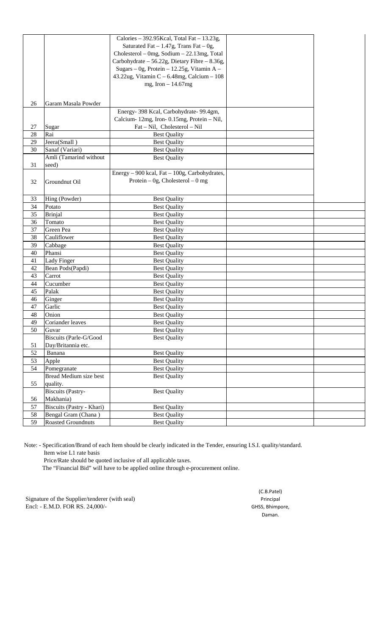|    |                               | Calories $-$ 392.95Kcal, Total Fat $-$ 13.23g, |  |
|----|-------------------------------|------------------------------------------------|--|
|    |                               | Saturated Fat $-1.47g$ , Trans Fat $-0g$ ,     |  |
|    |                               | Cholesterol - 0mg, Sodium - 22.13mg, Total     |  |
|    |                               | Carbohydrate - 56.22g, Dietary Fibre - 8.36g,  |  |
|    |                               | Sugars – Og, Protein – 12.25g, Vitamin A –     |  |
|    |                               | 43.22ug, Vitamin C - $6.48$ mg, Calcium - 108  |  |
|    |                               | mg, Iron $-14.67$ mg                           |  |
|    |                               |                                                |  |
|    |                               |                                                |  |
| 26 | Garam Masala Powder           |                                                |  |
|    |                               | Energy- 398 Kcal, Carbohydrate- 99.4gm,        |  |
|    |                               | Calcium-12mg, Iron-0.15mg, Protein - Nil,      |  |
| 27 | Sugar                         | Fat - Nil, Cholesterol - Nil                   |  |
| 28 | Rai                           | <b>Best Quality</b>                            |  |
| 29 | Jeera(Small)                  | <b>Best Quality</b>                            |  |
| 30 | Sanaf (Variari)               | <b>Best Quality</b>                            |  |
|    | Amli (Tamarind without        | <b>Best Quality</b>                            |  |
| 31 | seed)                         |                                                |  |
|    |                               | Energy - 900 kcal, Fat - 100g, Carbohydrates,  |  |
| 32 | Groundnut Oil                 | Protein – 0g, Cholesterol – 0 mg               |  |
|    |                               |                                                |  |
|    |                               |                                                |  |
| 33 | Hing (Powder)                 | <b>Best Quality</b>                            |  |
| 34 | Potato                        | <b>Best Quality</b>                            |  |
| 35 | <b>Brinjal</b>                | <b>Best Quality</b>                            |  |
| 36 | Tomato                        | <b>Best Quality</b>                            |  |
| 37 | Green Pea                     | <b>Best Quality</b>                            |  |
| 38 | Cauliflower                   | <b>Best Quality</b>                            |  |
| 39 | Cabbage                       | <b>Best Quality</b>                            |  |
| 40 | Phansi                        | <b>Best Quality</b>                            |  |
| 41 | Lady Finger                   | <b>Best Quality</b>                            |  |
| 42 | Bean Pods(Papdi)              | <b>Best Quality</b>                            |  |
| 43 | Carrot                        | <b>Best Quality</b>                            |  |
| 44 | Cucumber                      | <b>Best Quality</b>                            |  |
| 45 | Palak                         | <b>Best Quality</b>                            |  |
| 46 | Ginger                        | <b>Best Quality</b>                            |  |
| 47 | Garlic                        | <b>Best Quality</b>                            |  |
| 48 | Onion                         | <b>Best Quality</b>                            |  |
| 49 | Coriander leaves              | <b>Best Quality</b>                            |  |
| 50 | Guvar                         | <b>Best Quality</b>                            |  |
|    | <b>Biscuits (Parle-G/Good</b> | <b>Best Quality</b>                            |  |
| 51 | Day/Britannia etc.            |                                                |  |
| 52 | Banana                        | <b>Best Quality</b>                            |  |
| 53 | Apple                         | <b>Best Quality</b>                            |  |
| 54 | Pomegranate                   | <b>Best Quality</b>                            |  |
|    | Bread Medium size best        | <b>Best Quality</b>                            |  |
| 55 | quality.                      |                                                |  |
|    | <b>Biscuits</b> (Pastry-      | <b>Best Quality</b>                            |  |
| 56 | Makhania)                     |                                                |  |
| 57 | Biscuits (Pastry - Khari)     | <b>Best Quality</b>                            |  |
| 58 | Bengal Gram (Chana)           | <b>Best Quality</b>                            |  |
| 59 | Roasted Groundnuts            | <b>Best Quality</b>                            |  |
|    |                               |                                                |  |

Note: - Specification/Brand of each Item should be clearly indicated in the Tender, ensuring I.S.I. quality/standard. Item wise L1 rate basis

Price/Rate should be quoted inclusive of all applicable taxes.

The "Financial Bid" will have to be applied online through e-procurement online.

Signature of the Supplier/tenderer (with seal) Principal Encl: - E.M.D. FOR RS. 24,000/- GHSS, Bhimpore,

(C.B.Patel) Daman.